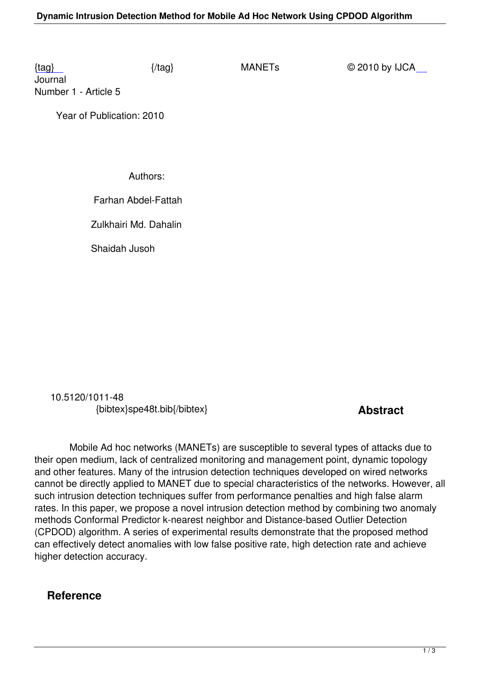Journal Number 1 - Article 5

 [Ye](/manets/number1/SPE48T.pdf)ar of Publication: 2010

Authors:

Farhan Abdel-Fattah

Zulkhairi Md. Dahalin

Shaidah Jusoh

 10.5120/1011-48 {bibtex}spe48t.bib{/bibtex} **Abstract** 

 Mobile Ad hoc networks (MANETs) are susceptible to several types of attacks due to their open medium, lack of centralized monitoring and management point, dynamic topology and other features. Many of the intrusion detection techniques developed on wired networks cannot be directly applied to MANET due to special characteristics of the networks. However, all such intrusion detection techniques suffer from performance penalties and high false alarm rates. In this paper, we propose a novel intrusion detection method by combining two anomaly methods Conformal Predictor k-nearest neighbor and Distance-based Outlier Detection (CPDOD) algorithm. A series of experimental results demonstrate that the proposed method can effectively detect anomalies with low false positive rate, high detection rate and achieve higher detection accuracy.

## **Reference**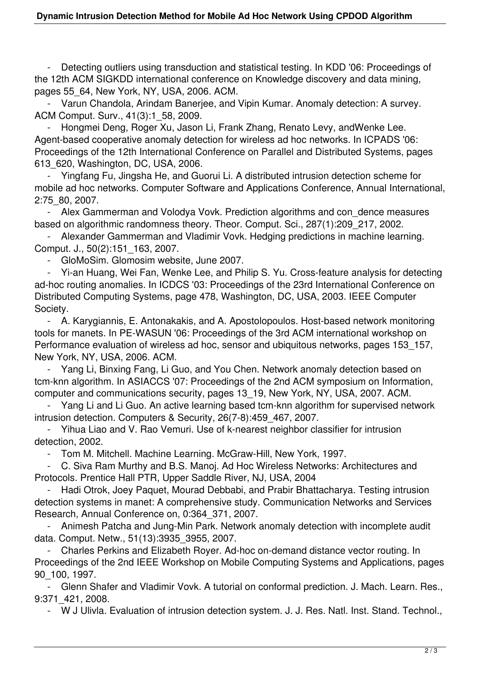Detecting outliers using transduction and statistical testing. In KDD '06: Proceedings of the 12th ACM SIGKDD international conference on Knowledge discovery and data mining, pages 55\_64, New York, NY, USA, 2006. ACM.

 - Varun Chandola, Arindam Banerjee, and Vipin Kumar. Anomaly detection: A survey. ACM Comput. Surv., 41(3):1\_58, 2009.

 - Hongmei Deng, Roger Xu, Jason Li, Frank Zhang, Renato Levy, andWenke Lee. Agent-based cooperative anomaly detection for wireless ad hoc networks. In ICPADS '06: Proceedings of the 12th International Conference on Parallel and Distributed Systems, pages 613\_620, Washington, DC, USA, 2006.

 - Yingfang Fu, Jingsha He, and Guorui Li. A distributed intrusion detection scheme for mobile ad hoc networks. Computer Software and Applications Conference, Annual International, 2:75\_80, 2007.

 - Alex Gammerman and Volodya Vovk. Prediction algorithms and con\_dence measures based on algorithmic randomness theory. Theor. Comput. Sci., 287(1):209\_217, 2002.

 - Alexander Gammerman and Vladimir Vovk. Hedging predictions in machine learning. Comput. J., 50(2):151\_163, 2007.

- GloMoSim. Glomosim website, June 2007.

 - Yi-an Huang, Wei Fan, Wenke Lee, and Philip S. Yu. Cross-feature analysis for detecting ad-hoc routing anomalies. In ICDCS '03: Proceedings of the 23rd International Conference on Distributed Computing Systems, page 478, Washington, DC, USA, 2003. IEEE Computer Society.

 - A. Karygiannis, E. Antonakakis, and A. Apostolopoulos. Host-based network monitoring tools for manets. In PE-WASUN '06: Proceedings of the 3rd ACM international workshop on Performance evaluation of wireless ad hoc, sensor and ubiquitous networks, pages 153\_157, New York, NY, USA, 2006. ACM.

Yang Li, Binxing Fang, Li Guo, and You Chen. Network anomaly detection based on tcm-knn algorithm. In ASIACCS '07: Proceedings of the 2nd ACM symposium on Information, computer and communications security, pages 13\_19, New York, NY, USA, 2007. ACM.

Yang Li and Li Guo. An active learning based tcm-knn algorithm for supervised network intrusion detection. Computers & Security, 26(7-8):459\_467, 2007.

 - Yihua Liao and V. Rao Vemuri. Use of k-nearest neighbor classifier for intrusion detection, 2002.

- Tom M. Mitchell. Machine Learning. McGraw-Hill, New York, 1997.

 - C. Siva Ram Murthy and B.S. Manoj. Ad Hoc Wireless Networks: Architectures and Protocols. Prentice Hall PTR, Upper Saddle River, NJ, USA, 2004

 - Hadi Otrok, Joey Paquet, Mourad Debbabi, and Prabir Bhattacharya. Testing intrusion detection systems in manet: A comprehensive study. Communication Networks and Services Research, Annual Conference on, 0:364\_371, 2007.

 - Animesh Patcha and Jung-Min Park. Network anomaly detection with incomplete audit data. Comput. Netw., 51(13):3935\_3955, 2007.

 - Charles Perkins and Elizabeth Royer. Ad-hoc on-demand distance vector routing. In Proceedings of the 2nd IEEE Workshop on Mobile Computing Systems and Applications, pages 90\_100, 1997.

 - Glenn Shafer and Vladimir Vovk. A tutorial on conformal prediction. J. Mach. Learn. Res., 9:371\_421, 2008.

- W J Ulivla. Evaluation of intrusion detection system. J. J. Res. Natl. Inst. Stand. Technol.,